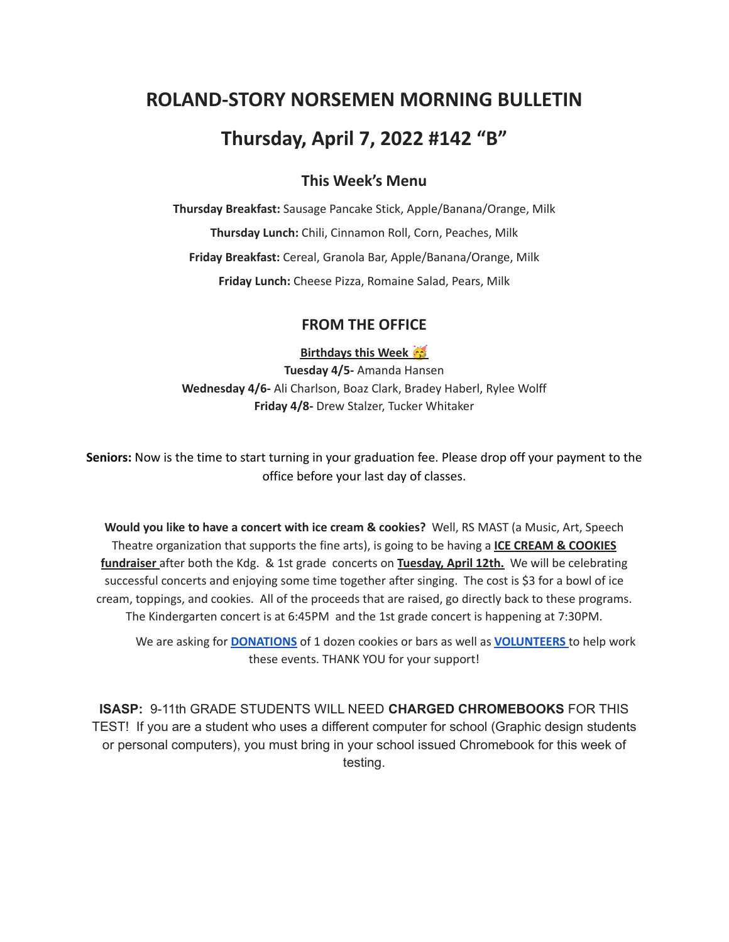# **ROLAND-STORY NORSEMEN MORNING BULLETIN**

# **Thursday, April 7, 2022 #142 "B"**

## **This Week's Menu**

**Thursday Breakfast:** Sausage Pancake Stick, Apple/Banana/Orange, Milk **Thursday Lunch:** Chili, Cinnamon Roll, Corn, Peaches, Milk **Friday Breakfast:** Cereal, Granola Bar, Apple/Banana/Orange, Milk **Friday Lunch:** Cheese Pizza, Romaine Salad, Pears, Milk

### **FROM THE OFFICE**

#### **Birthdays this Week**

**Tuesday 4/5-** Amanda Hansen **Wednesday 4/6-** Ali Charlson, Boaz Clark, Bradey Haberl, Rylee Wolff **Friday 4/8-** Drew Stalzer, Tucker Whitaker

**Seniors:** Now is the time to start turning in your graduation fee. Please drop off your payment to the office before your last day of classes.

**Would you like to have a concert with ice cream & cookies?** Well, RS MAST (a Music, Art, Speech Theatre organization that supports the fine arts), is going to be having a **ICE CREAM & COOKIES fundraiser** after both the Kdg. & 1st grade concerts on **Tuesday, April 12th.** We will be celebrating successful concerts and enjoying some time together after singing. The cost is \$3 for a bowl of ice cream, toppings, and cookies. All of the proceeds that are raised, go directly back to these programs. The Kindergarten concert is at 6:45PM and the 1st grade concert is happening at 7:30PM.

We are asking for **[DONATIONS](https://www.signupgenius.com/go/4090C45ACAC2BA31-kdg)** of 1 dozen cookies or bars as well as **[VOLUNTEERS](https://www.signupgenius.com/go/4090C45ACAC2BA31-volunteers)** to help work these events. THANK YOU for your support!

**ISASP:** 9-11th GRADE STUDENTS WILL NEED **CHARGED CHROMEBOOKS** FOR THIS TEST! If you are a student who uses a different computer for school (Graphic design students or personal computers), you must bring in your school issued Chromebook for this week of testing.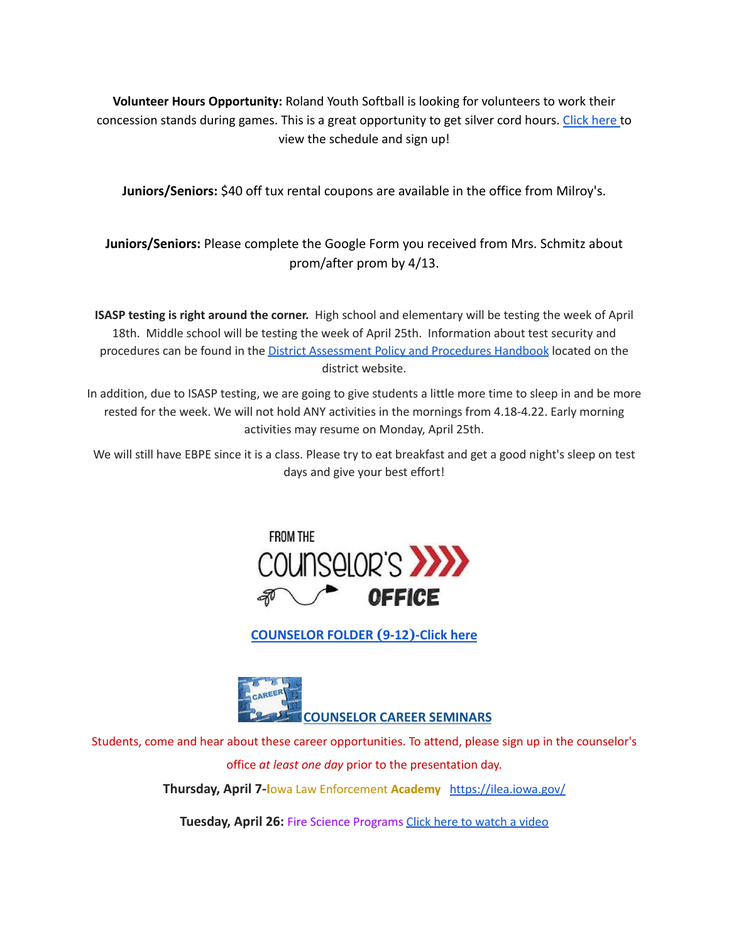**Volunteer Hours Opportunity:** Roland Youth Softball is looking for volunteers to work their concession stands during games. This is a great opportunity to get silver cord hours. [Click](https://www.signupgenius.com/go/70a094facac2aa0f85-roland1) here to view the schedule and sign up!

**Juniors/Seniors:** \$40 off tux rental coupons are available in the office from Milroy's.

**Juniors/Seniors:** Please complete the Google Form you received from Mrs. Schmitz about prom/after prom by 4/13.

**ISASP testing is right around the corner.** High school and elementary will be testing the week of April 18th. Middle school will be testing the week of April 25th. Information about test security and procedures can be found in the District [Assessment](https://rolandstory.school/media/Michelle%20Soderstrum/RSCSD_District_Assessment_Poli%20-%20Copy%203.pdf) Policy and Procedures Handbook located on the district website.

In addition, due to ISASP testing, we are going to give students a little more time to sleep in and be more rested for the week. We will not hold ANY activities in the mornings from 4.18-4.22. Early morning activities may resume on Monday, April 25th.

We will still have EBPE since it is a class. Please try to eat breakfast and get a good night's sleep on test days and give your best effort!



**[COUNSELOR FOLDER](https://docs.google.com/document/d/1vmwczNPbDzXe9vFaG5LJMQ7NYDv-i4oQJHybqA65TUc/edit?usp=sharing) (9-12)-Click here**



Students, come and hear about these career opportunities. To attend, please sign up in the counselor's

office *at least one day* prior to the presentation day. **Thursday, April 7-I**owa Law Enforcement **Academy** <https://ilea.iowa.gov/>

**Tuesday, April 26:** Fire Science Programs Click here to [watch](https://www.youtube.com/watch?v=xBXR6h_2eWg) a video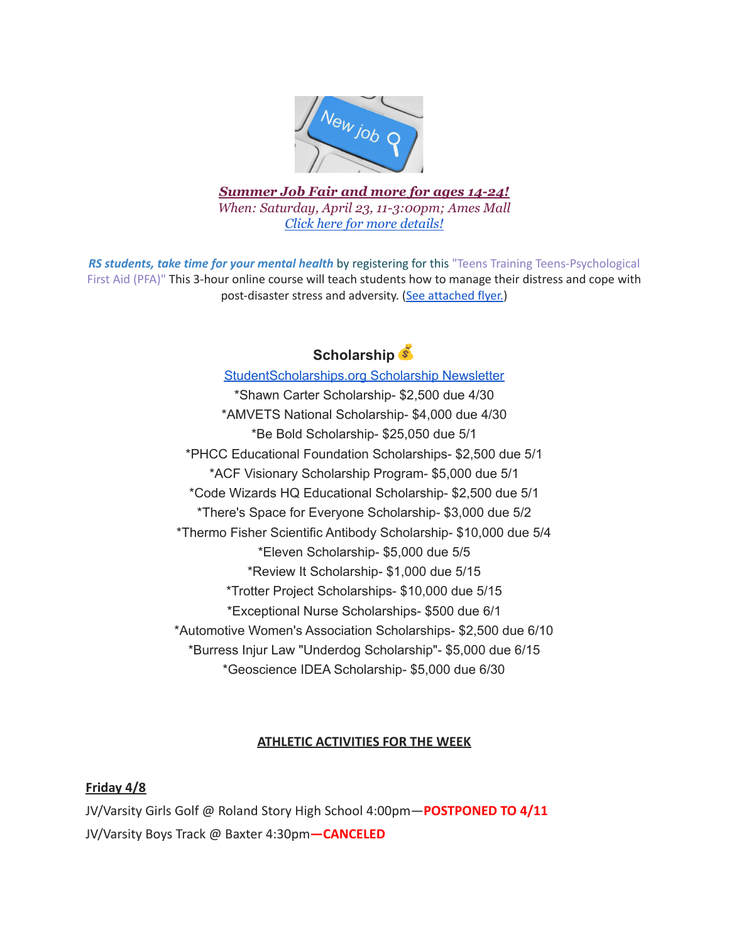

*Summer Job Fair and more for ages 14-24! When: Saturday, April 23, 11-3:00pm; Ames Mall Click here for more [details!](https://drive.google.com/file/d/1oRnZjYZwcrPoadOvdDvW1Xo67Q_emRhm/view?usp=sharing)*

*RS students, take time for your mental health* by registering for this "Teens Training Teens-Psychological First Aid (PFA)" This 3-hour online course will teach students how to manage their distress and cope with post-disaster stress and adversity. (See [attached](https://drive.google.com/file/d/18ZxsDgb9mTVccDP5AD1ejwqoEi1MNUwE/view?usp=sharing) flyer.)

# **Scholarship**

# [StudentScholarships.org](https://mail.google.com/mail/u/0/#inbox/FMfcgzGmvnxHNJmNqQFMvMXGZjCFpNPB?projector=1&messagePartId=0.1) Scholarship Newsletter

\*Shawn Carter Scholarship- \$2,500 due 4/30 \*AMVETS National Scholarship- \$4,000 due 4/30 \*Be Bold Scholarship- \$25,050 due 5/1 \*PHCC Educational Foundation Scholarships- \$2,500 due 5/1 \*ACF Visionary Scholarship Program- \$5,000 due 5/1 \*Code Wizards HQ Educational Scholarship- \$2,500 due 5/1 \*There's Space for Everyone Scholarship- \$3,000 due 5/2 \*Thermo Fisher Scientific Antibody Scholarship- \$10,000 due 5/4 \*Eleven Scholarship- \$5,000 due 5/5 \*Review It Scholarship- \$1,000 due 5/15 \*Trotter Project Scholarships- \$10,000 due 5/15 \*Exceptional Nurse Scholarships- \$500 due 6/1 \*Automotive Women's Association Scholarships- \$2,500 due 6/10 \*Burress Injur Law "Underdog Scholarship"- \$5,000 due 6/15 \*Geoscience IDEA Scholarship- \$5,000 due 6/30

# **ATHLETIC ACTIVITIES FOR THE WEEK**

## **Friday 4/8**

JV/Varsity Girls Golf @ Roland Story High School 4:00pm—**POSTPONED TO 4/11** JV/Varsity Boys Track @ Baxter 4:30pm**—CANCELED**